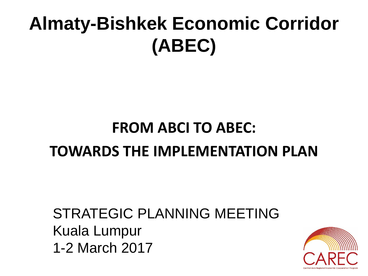# **Almaty-Bishkek Economic Corridor (ABEC)**

### **FROM ABCI TO ABEC: TOWARDS THE IMPLEMENTATION PLAN**

#### STRATEGIC PLANNING MEETING Kuala Lumpur 1-2 March 2017

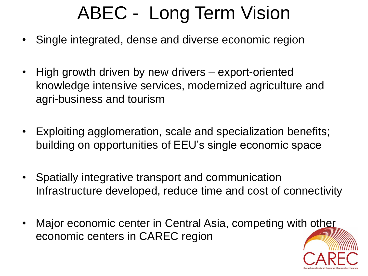# ABEC - Long Term Vision

- Single integrated, dense and diverse economic region
- High growth driven by new drivers export-oriented knowledge intensive services, modernized agriculture and agri-business and tourism
- Exploiting agglomeration, scale and specialization benefits; building on opportunities of EEU's single economic space
- Spatially integrative transport and communication Infrastructure developed, reduce time and cost of connectivity
- Major economic center in Central Asia, competing with other economic centers in CAREC region

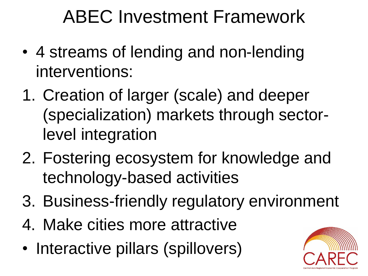# ABEC Investment Framework

- 4 streams of lending and non-lending interventions:
- 1. Creation of larger (scale) and deeper (specialization) markets through sectorlevel integration
- 2. Fostering ecosystem for knowledge and technology-based activities
- 3. Business-friendly regulatory environment
- 4. Make cities more attractive
- Interactive pillars (spillovers)

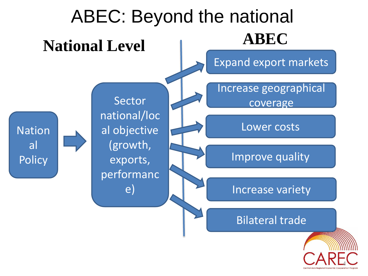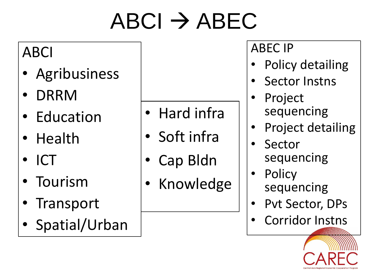# $ABCI \rightarrow ABEC$

#### ABCI

- Agribusiness
- DRRM
- Education
- Health
- ICT
- **Tourism**
- **Transport**
- Spatial/Urban
- Hard infra
- Soft infra
- Cap Bldn
- **Knowledge**

#### ABEC IP

- Policy detailing
- Sector Instns
- **Project** sequencing
- Project detailing
- **Sector** sequencing
- **Policy** sequencing
- Pvt Sector, DPs
- Corridor Instns